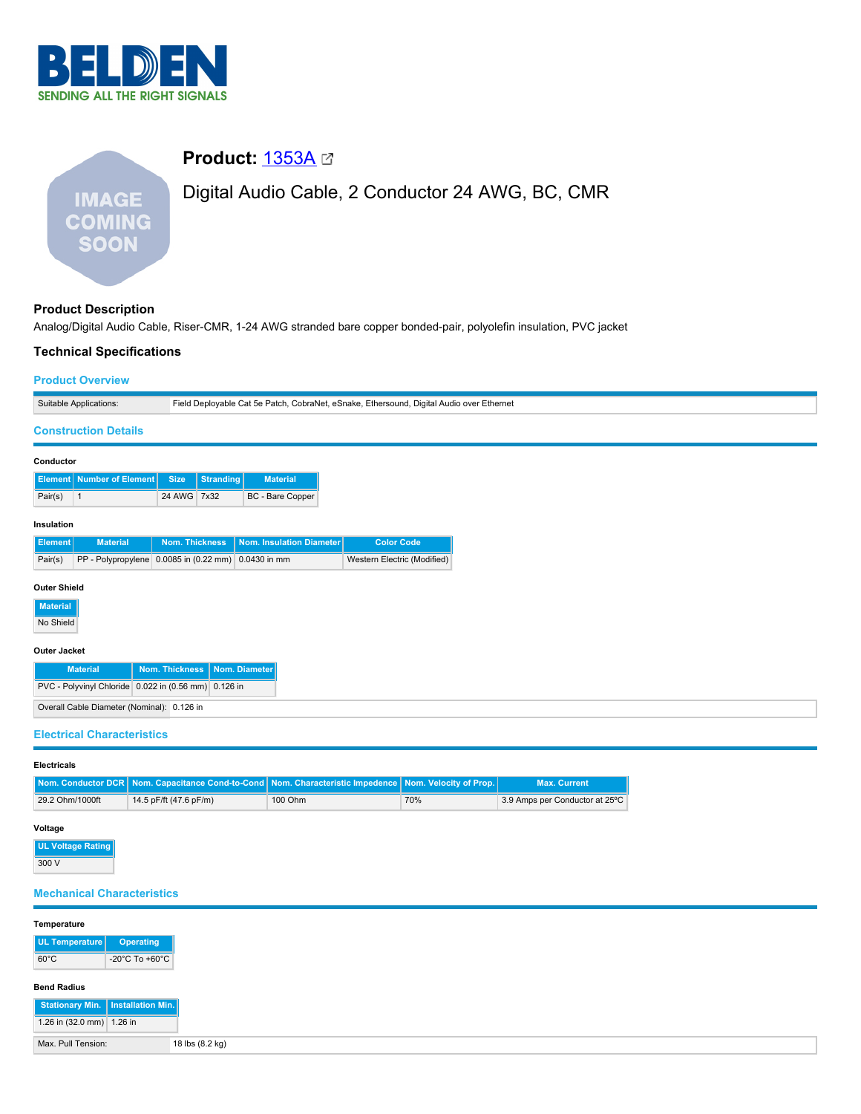

# **Product: [1353A](https://catalog.belden.com/index.cfm?event=pd&p=PF_1353A&tab=downloads)** ⊠ Digital Audio Cable, 2 Conductor 24 AWG, BC, CMR **IMAGE COMING SOON**

### **Product Description**

Analog/Digital Audio Cable, Riser-CMR, 1-24 AWG stranded bare copper bonded-pair, polyolefin insulation, PVC jacket

# **Technical Specifications Product Overview** Suitable Applications: Field Deployable Cat 5e Patch, CobraNet, eSnake, Ethersound, Digital Audio over Ethernet **Construction Details Conductor Element Number of Element Size Stranding Material** Pair(s) 1 24 AWG 7x32 BC - Bare Copper **Insulation Element Material Nom. Thickness Nom. Insulation Diameter Color Code** Pair(s) PP - Polypropylene 0.0085 in (0.22 mm) 0.0430 in mm Western Electric (Modified) **Outer Shield Material** No Shield **Outer Jacket Material Nom. Thickness Nom. Diameter** PVC - Polyvinyl Chloride 0.022 in (0.56 mm) 0.126 in Overall Cable Diameter (Nominal): 0.126 in **Electrical Characteristics**

## **Electricals**

|                 | Nom. Conductor DCR Nom. Capacitance Cond-to-Cond Nom. Characteristic Impedence Nom. Velocity of Prop. |         |     | <b>Max. Current</b>            |
|-----------------|-------------------------------------------------------------------------------------------------------|---------|-----|--------------------------------|
| 29.2 Ohm/1000ft | 14.5 pF/ft (47.6 pF/m)                                                                                | 100 Ohm | 70% | 3.9 Amps per Conductor at 25°C |

#### **Voltage**

**UL Voltage Rat**  $300V$ 

#### **Mechanical Characteristics**

| Temperature               |                                     |
|---------------------------|-------------------------------------|
| UL Temperature            | Operating                           |
| $60^{\circ}$ C            | -20°C To +60°C                      |
| <b>Bend Radius</b>        |                                     |
|                           | Stationary Min.   Installation Min. |
| 1.26 in (32.0 mm) 1.26 in |                                     |
| Max. Pull Tension:        | 18 lbs (8.2 kg)                     |